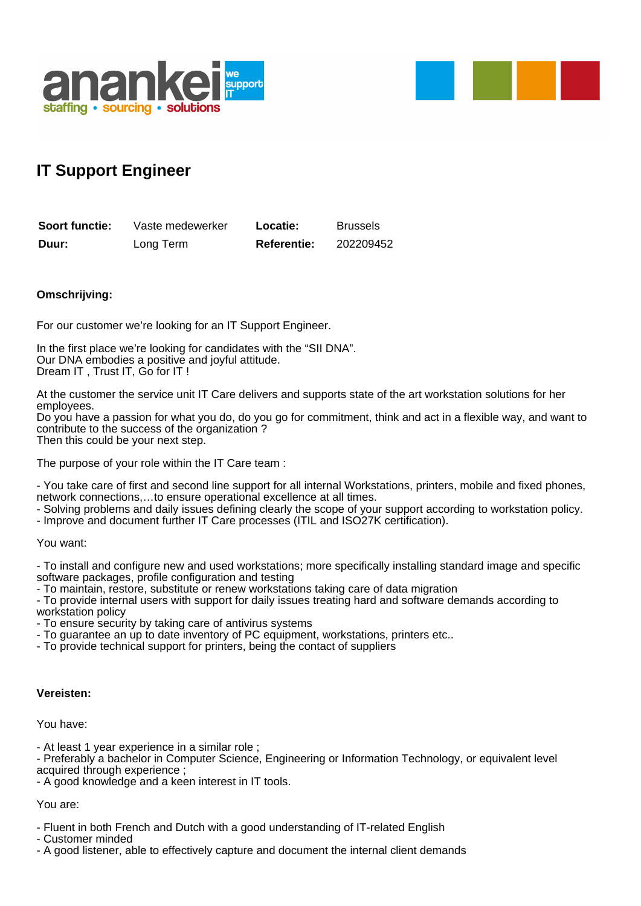



## **IT Support Engineer**

| Soort functie: | Vaste medewerker | Locatie:           | <b>Brussels</b> |
|----------------|------------------|--------------------|-----------------|
| Duur:          | Long Term        | <b>Referentie:</b> | 202209452       |

## **Omschrijving:**

For our customer we're looking for an IT Support Engineer.

In the first place we're looking for candidates with the "SII DNA". Our DNA embodies a positive and joyful attitude. Dream IT , Trust IT, Go for IT !

At the customer the service unit IT Care delivers and supports state of the art workstation solutions for her employees.

Do you have a passion for what you do, do you go for commitment, think and act in a flexible way, and want to contribute to the success of the organization ? Then this could be your next step.

The purpose of your role within the IT Care team :

- You take care of first and second line support for all internal Workstations, printers, mobile and fixed phones, network connections,…to ensure operational excellence at all times.

- Solving problems and daily issues defining clearly the scope of your support according to workstation policy.
- Improve and document further IT Care processes (ITIL and ISO27K certification).

You want:

- To install and configure new and used workstations; more specifically installing standard image and specific software packages, profile configuration and testing

- To maintain, restore, substitute or renew workstations taking care of data migration

- To provide internal users with support for daily issues treating hard and software demands according to workstation policy

- To ensure security by taking care of antivirus systems

- To guarantee an up to date inventory of PC equipment, workstations, printers etc..
- To provide technical support for printers, being the contact of suppliers

## **Vereisten:**

You have:

- At least 1 year experience in a similar role ;

- Preferably a bachelor in Computer Science, Engineering or Information Technology, or equivalent level acquired through experience ;

- A good knowledge and a keen interest in IT tools.

You are:

- Fluent in both French and Dutch with a good understanding of IT-related English

- Customer minded

- A good listener, able to effectively capture and document the internal client demands